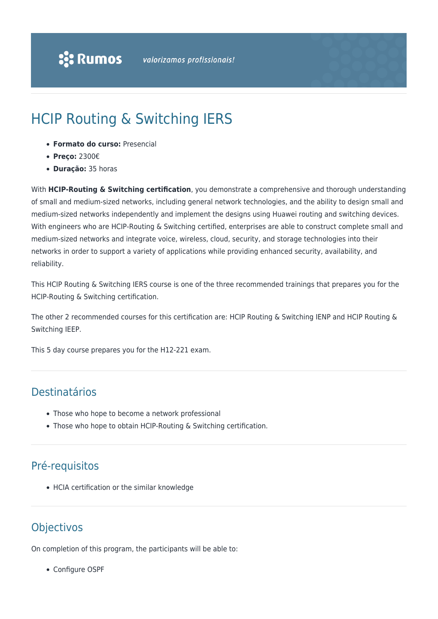# HCIP Routing & Switching IERS

- **Formato do curso:** Presencial
- **Preço:** 2300€
- **Duração:** 35 horas

With **HCIP-Routing & Switching certification**, you demonstrate a comprehensive and thorough understanding of small and medium-sized networks, including general network technologies, and the ability to design small and medium-sized networks independently and implement the designs using Huawei routing and switching devices. With engineers who are HCIP-Routing & Switching certified, enterprises are able to construct complete small and medium-sized networks and integrate voice, wireless, cloud, security, and storage technologies into their networks in order to support a variety of applications while providing enhanced security, availability, and reliability.

This HCIP Routing & Switching IERS course is one of the three recommended trainings that prepares you for the HCIP-Routing & Switching certification.

The other 2 recommended courses for this certification are: HCIP Routing & Switching IENP and HCIP Routing & Switching IEEP.

This 5 day course prepares you for the H12-221 exam.

## Destinatários

- Those who hope to become a network professional
- Those who hope to obtain HCIP-Routing & Switching certification.

## Pré-requisitos

• HCIA certification or the similar knowledge

## **Objectivos**

On completion of this program, the participants will be able to:

Configure OSPF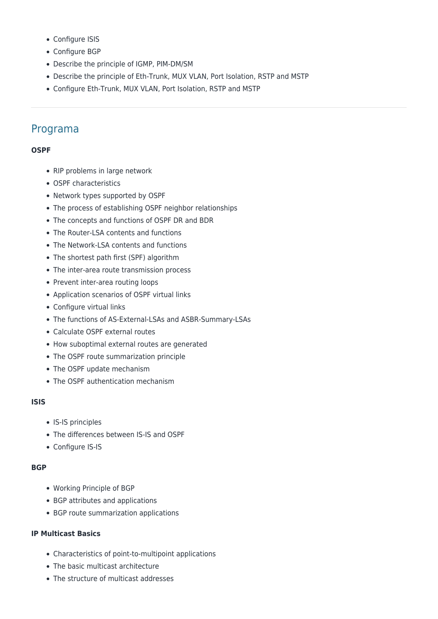- Configure ISIS
- Configure BGP
- Describe the principle of IGMP, PIM-DM/SM
- Describe the principle of Eth-Trunk, MUX VLAN, Port Isolation, RSTP and MSTP
- Configure Eth-Trunk, MUX VLAN, Port Isolation, RSTP and MSTP

### Programa

#### **OSPF**

- RIP problems in large network
- OSPF characteristics
- Network types supported by OSPF
- The process of establishing OSPF neighbor relationships
- The concepts and functions of OSPF DR and BDR
- The Router-LSA contents and functions
- The Network-LSA contents and functions
- The shortest path first (SPF) algorithm
- The inter-area route transmission process
- Prevent inter-area routing loops
- Application scenarios of OSPF virtual links
- Configure virtual links
- The functions of AS-External-LSAs and ASBR-Summary-LSAs
- Calculate OSPF external routes
- How suboptimal external routes are generated
- The OSPF route summarization principle
- The OSPF update mechanism
- The OSPF authentication mechanism

#### **ISIS**

- IS-IS principles
- The differences between IS-IS and OSPF
- Configure IS-IS

#### **BGP**

- Working Principle of BGP
- BGP attributes and applications
- BGP route summarization applications

#### **IP Multicast Basics**

- Characteristics of point-to-multipoint applications
- The basic multicast architecture
- The structure of multicast addresses